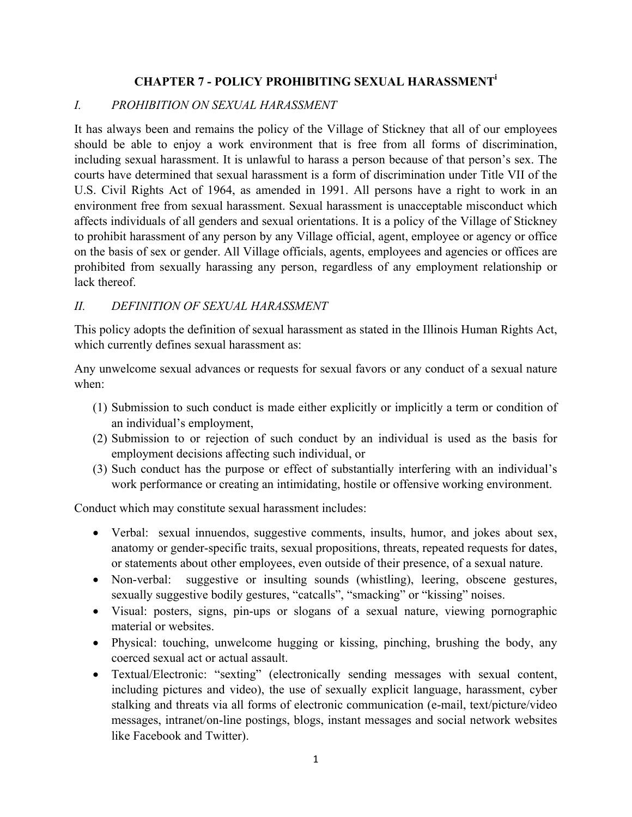## **CHAPTER 7 - POLICY PROHIBITING SEXUAL HARASSMENTi**

## *I. PROHIBITION ON SEXUAL HARASSMENT*

It has always been and remains the policy of the Village of Stickney that all of our employees should be able to enjoy a work environment that is free from all forms of discrimination, including sexual harassment. It is unlawful to harass a person because of that person's sex. The courts have determined that sexual harassment is a form of discrimination under Title VII of the U.S. Civil Rights Act of 1964, as amended in 1991. All persons have a right to work in an environment free from sexual harassment. Sexual harassment is unacceptable misconduct which affects individuals of all genders and sexual orientations. It is a policy of the Village of Stickney to prohibit harassment of any person by any Village official, agent, employee or agency or office on the basis of sex or gender. All Village officials, agents, employees and agencies or offices are prohibited from sexually harassing any person, regardless of any employment relationship or lack thereof.

### *II. DEFINITION OF SEXUAL HARASSMENT*

This policy adopts the definition of sexual harassment as stated in the Illinois Human Rights Act, which currently defines sexual harassment as:

Any unwelcome sexual advances or requests for sexual favors or any conduct of a sexual nature when:

- (1) Submission to such conduct is made either explicitly or implicitly a term or condition of an individual's employment,
- (2) Submission to or rejection of such conduct by an individual is used as the basis for employment decisions affecting such individual, or
- (3) Such conduct has the purpose or effect of substantially interfering with an individual's work performance or creating an intimidating, hostile or offensive working environment.

Conduct which may constitute sexual harassment includes:

- Verbal: sexual innuendos, suggestive comments, insults, humor, and jokes about sex, anatomy or gender-specific traits, sexual propositions, threats, repeated requests for dates, or statements about other employees, even outside of their presence, of a sexual nature.
- Non-verbal: suggestive or insulting sounds (whistling), leering, obscene gestures, sexually suggestive bodily gestures, "catcalls", "smacking" or "kissing" noises.
- Visual: posters, signs, pin-ups or slogans of a sexual nature, viewing pornographic material or websites.
- Physical: touching, unwelcome hugging or kissing, pinching, brushing the body, any coerced sexual act or actual assault.
- Textual/Electronic: "sexting" (electronically sending messages with sexual content, including pictures and video), the use of sexually explicit language, harassment, cyber stalking and threats via all forms of electronic communication (e-mail, text/picture/video messages, intranet/on-line postings, blogs, instant messages and social network websites like Facebook and Twitter).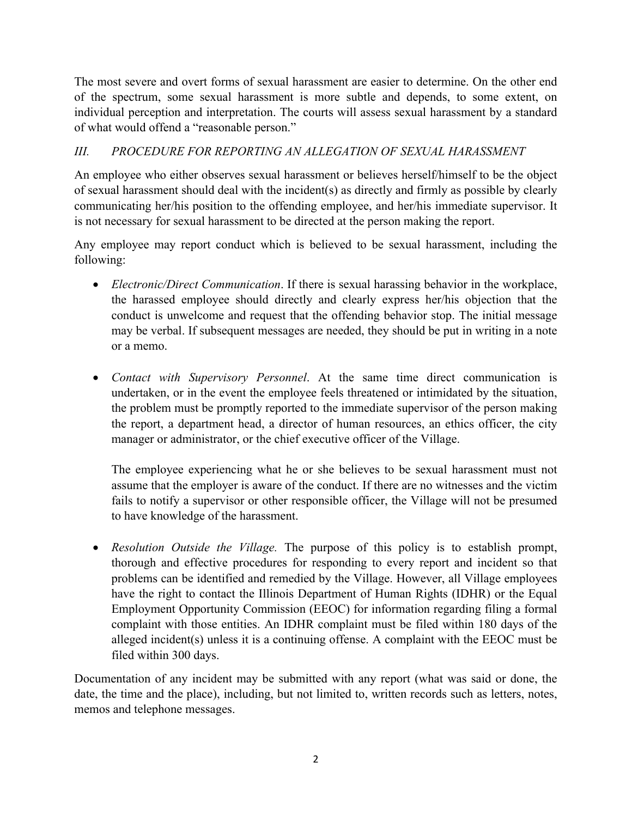The most severe and overt forms of sexual harassment are easier to determine. On the other end of the spectrum, some sexual harassment is more subtle and depends, to some extent, on individual perception and interpretation. The courts will assess sexual harassment by a standard of what would offend a "reasonable person."

# *III. PROCEDURE FOR REPORTING AN ALLEGATION OF SEXUAL HARASSMENT*

An employee who either observes sexual harassment or believes herself/himself to be the object of sexual harassment should deal with the incident(s) as directly and firmly as possible by clearly communicating her/his position to the offending employee, and her/his immediate supervisor. It is not necessary for sexual harassment to be directed at the person making the report.

Any employee may report conduct which is believed to be sexual harassment, including the following:

- *Electronic/Direct Communication*. If there is sexual harassing behavior in the workplace, the harassed employee should directly and clearly express her/his objection that the conduct is unwelcome and request that the offending behavior stop. The initial message may be verbal. If subsequent messages are needed, they should be put in writing in a note or a memo.
- *Contact with Supervisory Personnel*. At the same time direct communication is undertaken, or in the event the employee feels threatened or intimidated by the situation, the problem must be promptly reported to the immediate supervisor of the person making the report, a department head, a director of human resources, an ethics officer, the city manager or administrator, or the chief executive officer of the Village.

The employee experiencing what he or she believes to be sexual harassment must not assume that the employer is aware of the conduct. If there are no witnesses and the victim fails to notify a supervisor or other responsible officer, the Village will not be presumed to have knowledge of the harassment.

• *Resolution Outside the Village.* The purpose of this policy is to establish prompt, thorough and effective procedures for responding to every report and incident so that problems can be identified and remedied by the Village. However, all Village employees have the right to contact the Illinois Department of Human Rights (IDHR) or the Equal Employment Opportunity Commission (EEOC) for information regarding filing a formal complaint with those entities. An IDHR complaint must be filed within 180 days of the alleged incident(s) unless it is a continuing offense. A complaint with the EEOC must be filed within 300 days.

Documentation of any incident may be submitted with any report (what was said or done, the date, the time and the place), including, but not limited to, written records such as letters, notes, memos and telephone messages.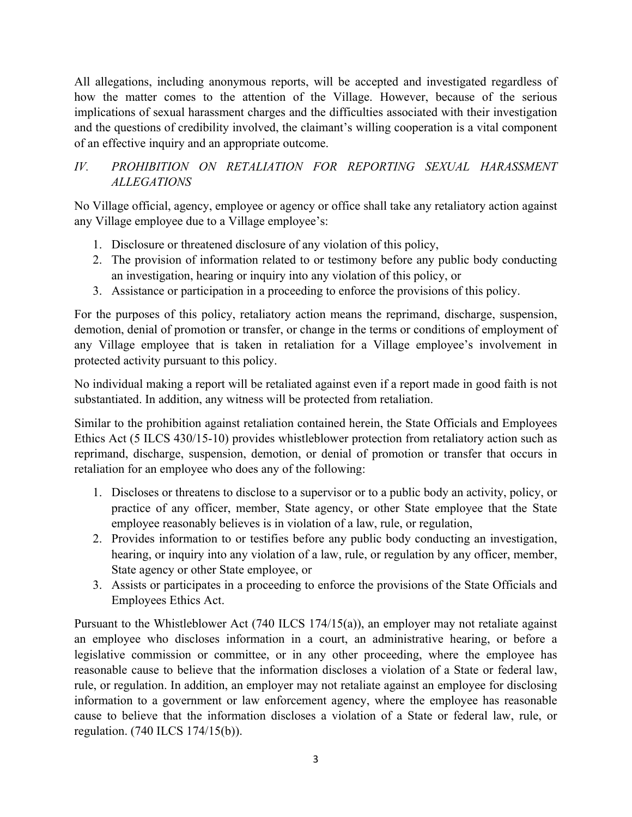All allegations, including anonymous reports, will be accepted and investigated regardless of how the matter comes to the attention of the Village. However, because of the serious implications of sexual harassment charges and the difficulties associated with their investigation and the questions of credibility involved, the claimant's willing cooperation is a vital component of an effective inquiry and an appropriate outcome.

# *IV. PROHIBITION ON RETALIATION FOR REPORTING SEXUAL HARASSMENT ALLEGATIONS*

No Village official, agency, employee or agency or office shall take any retaliatory action against any Village employee due to a Village employee's:

- 1. Disclosure or threatened disclosure of any violation of this policy,
- 2. The provision of information related to or testimony before any public body conducting an investigation, hearing or inquiry into any violation of this policy, or
- 3. Assistance or participation in a proceeding to enforce the provisions of this policy.

For the purposes of this policy, retaliatory action means the reprimand, discharge, suspension, demotion, denial of promotion or transfer, or change in the terms or conditions of employment of any Village employee that is taken in retaliation for a Village employee's involvement in protected activity pursuant to this policy.

No individual making a report will be retaliated against even if a report made in good faith is not substantiated. In addition, any witness will be protected from retaliation.

Similar to the prohibition against retaliation contained herein, the State Officials and Employees Ethics Act (5 ILCS 430/15-10) provides whistleblower protection from retaliatory action such as reprimand, discharge, suspension, demotion, or denial of promotion or transfer that occurs in retaliation for an employee who does any of the following:

- 1. Discloses or threatens to disclose to a supervisor or to a public body an activity, policy, or practice of any officer, member, State agency, or other State employee that the State employee reasonably believes is in violation of a law, rule, or regulation,
- 2. Provides information to or testifies before any public body conducting an investigation, hearing, or inquiry into any violation of a law, rule, or regulation by any officer, member, State agency or other State employee, or
- 3. Assists or participates in a proceeding to enforce the provisions of the State Officials and Employees Ethics Act.

Pursuant to the Whistleblower Act (740 ILCS 174/15(a)), an employer may not retaliate against an employee who discloses information in a court, an administrative hearing, or before a legislative commission or committee, or in any other proceeding, where the employee has reasonable cause to believe that the information discloses a violation of a State or federal law, rule, or regulation. In addition, an employer may not retaliate against an employee for disclosing information to a government or law enforcement agency, where the employee has reasonable cause to believe that the information discloses a violation of a State or federal law, rule, or regulation. (740 ILCS 174/15(b)).